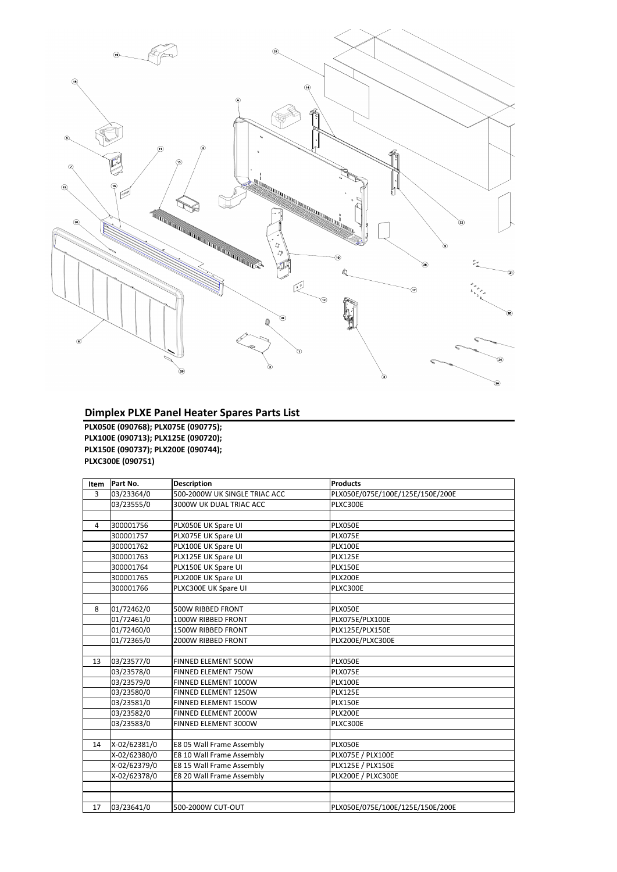| <b>Item</b>    | Part No.     | <b>Description</b>            | <b>Products</b>                  |
|----------------|--------------|-------------------------------|----------------------------------|
| $\overline{3}$ | 03/23364/0   | 500-2000W UK SINGLE TRIAC ACC | PLX050E/075E/100E/125E/150E/200E |
|                | 03/23555/0   | 3000W UK DUAL TRIAC ACC       | PLXC300E                         |
|                |              |                               |                                  |
| 4              | 300001756    | PLX050E UK Spare UI           | PLX050E                          |
|                | 300001757    | PLX075E UK Spare UI           | PLX075E                          |
|                | 300001762    | PLX100E UK Spare UI           | <b>PLX100E</b>                   |
|                | 300001763    | PLX125E UK Spare UI           | <b>PLX125E</b>                   |
|                | 300001764    | PLX150E UK Spare UI           | <b>PLX150E</b>                   |
|                | 300001765    | PLX200E UK Spare UI           | <b>PLX200E</b>                   |
|                | 300001766    | PLXC300E UK Spare UI          | PLXC300E                         |
|                |              |                               |                                  |
| 8              | 01/72462/0   | 500W RIBBED FRONT             | PLX050E                          |
|                | 01/72461/0   | 1000W RIBBED FRONT            | PLX075E/PLX100E                  |
|                | 01/72460/0   | 1500W RIBBED FRONT            | PLX125E/PLX150E                  |
|                | 01/72365/0   | 2000W RIBBED FRONT            | PLX200E/PLXC300E                 |
|                |              |                               |                                  |
| 13             | 03/23577/0   | FINNED ELEMENT 500W           | PLX050E                          |
|                | 03/23578/0   | FINNED ELEMENT 750W           | PLX075E                          |
|                | 03/23579/0   | FINNED ELEMENT 1000W          | <b>PLX100E</b>                   |
|                | 03/23580/0   | FINNED ELEMENT 1250W          | <b>PLX125E</b>                   |
|                | 03/23581/0   | FINNED ELEMENT 1500W          | <b>PLX150E</b>                   |
|                | 03/23582/0   | FINNED ELEMENT 2000W          | <b>PLX200E</b>                   |
|                | 03/23583/0   | FINNED ELEMENT 3000W          | PLXC300E                         |
|                |              |                               |                                  |
| 14             | X-02/62381/0 | E8 05 Wall Frame Assembly     | <b>PLX050E</b>                   |
|                | X-02/62380/0 | E8 10 Wall Frame Assembly     | PLX075E / PLX100E                |
|                | X-02/62379/0 | E8 15 Wall Frame Assembly     | PLX125E / PLX150E                |
|                | X-02/62378/0 | E8 20 Wall Frame Assembly     | <b>PLX200E / PLXC300E</b>        |
|                |              |                               |                                  |
|                |              |                               |                                  |
| 17             | 03/23641/0   | 500-2000W CUT-OUT             | PLX050E/075E/100E/125E/150E/200E |



## **Dimplex PLXE Panel Heater Spares Parts List**

**PLX050E (090768); PLX075E (090775); PLX100E (090713); PLX125E (090720); PLX150E (090737); PLX200E (090744); PLXC300E (090751)**